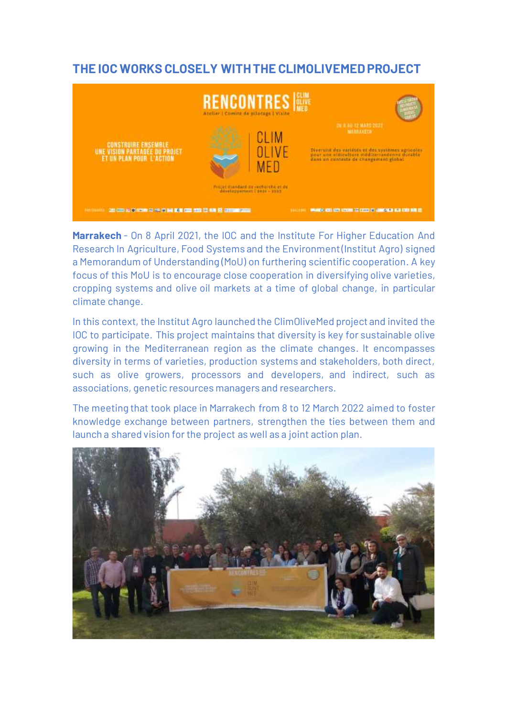## **THE IOC WORKS CLOSELY WITH THE CLIMOLIVEMED PROJECT**



**Marrakech** - On 8 April 2021, the IOC and the Institute For Higher Education And Research In Agriculture, Food Systems and the Environment (Institut Agro) signed a Memorandum of Understanding (MoU) on furthering scientific cooperation. A key focus of this MoU is to encourage close cooperation in diversifying olive varieties, cropping systems and olive oil markets at a time of global change, in particular climate change.

In this context, the Institut Agro launched the ClimOliveMed project and invited the IOC to participate. This project maintains that diversity is key for sustainable olive growing in the Mediterranean region as the climate changes. It encompasses diversity in terms of varieties, production systems and stakeholders, both direct, such as olive growers, processors and developers, and indirect, such as associations, genetic resources managers and researchers.

The meeting that took place in Marrakech from 8 to 12 March 2022 aimed to foster knowledge exchange between partners, strengthen the ties between them and launch a shared vision for the project as well as a joint action plan.

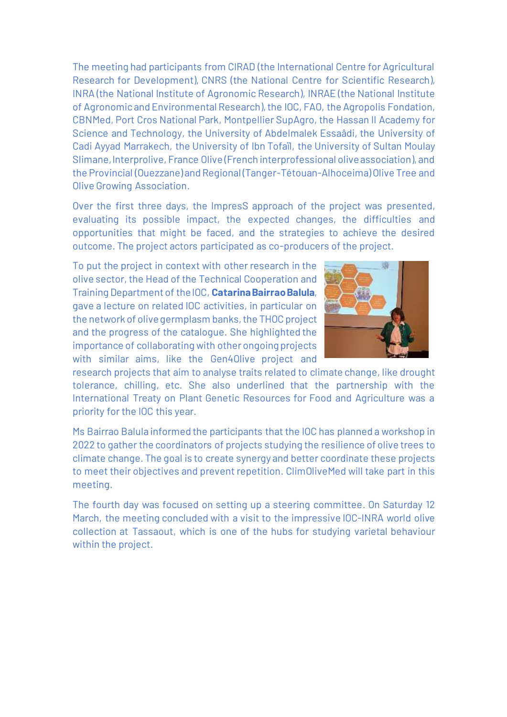The meeting had participants from CIRAD (the International Centre for Agricultural Research for Development), CNRS (the National Centre for Scientific Research), INRA (the National Institute of Agronomic Research), INRAE (the National Institute of Agronomic and Environmental Research), the IOC, FAO, the Agropolis Fondation, CBNMed, Port Cros National Park, Montpellier SupAgro, the Hassan II Academy for Science and Technology, the University of Abdelmalek Essaâdi, the University of Cadi Ayyad Marrakech, the University of Ibn Tofaïl, the University of Sultan Moulay Slimane, Interprolive, France Olive (French interprofessional olive association), and the Provincial (Ouezzane) and Regional (Tanger-Tétouan-Alhoceima) Olive Tree and Olive Growing Association.

Over the first three days, the ImpresS approach of the project was presented, evaluating its possible impact, the expected changes, the difficulties and opportunities that might be faced, and the strategies to achieve the desired outcome. The project actors participated as co-producers of the project.

To put the project in context with other research in the olive sector, the Head of the Technical Cooperation and Training Department of the IOC, **Catarina BairraoBalula**, gave a lecture on related IOC activities, in particular on the network of olive germplasm banks, the THOC project and the progress of the catalogue. She highlighted the importance of collaborating with other ongoing projects with similar aims, like the Gen4Olive project and



research projects that aim to analyse traits related to climate change, like drought tolerance, chilling, etc. She also underlined that the partnership with the International Treaty on Plant Genetic Resources for Food and Agriculture was a priority for the IOC this year.

Ms Bairrao Balula informed the participants that the IOC has planned a workshop in 2022 to gather the coordinators of projects studying the resilience of olive trees to climate change. The goal is to create synergy and better coordinate these projects to meet their objectives and prevent repetition. ClimOliveMed will take part in this meeting.

The fourth day was focused on setting up a steering committee. On Saturday 12 March, the meeting concluded with a visit to the impressive IOC-INRA world olive collection at Tassaout, which is one of the hubs for studying varietal behaviour within the project.